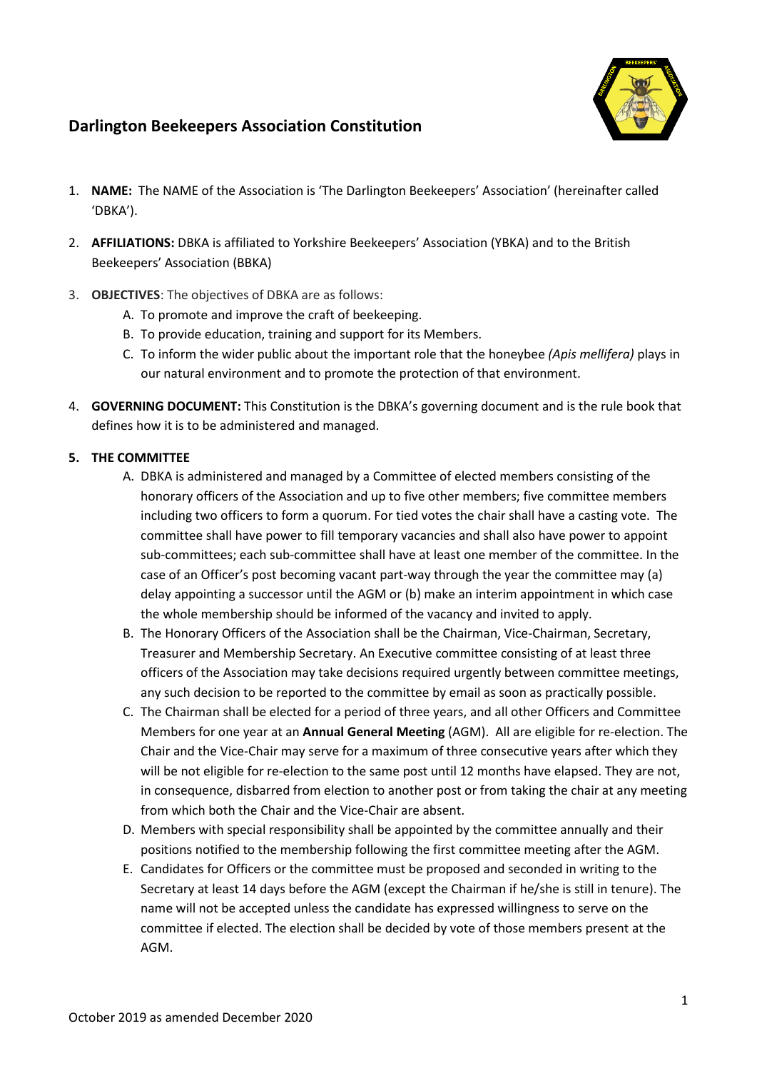

# **Darlington Beekeepers Association Constitution**

- 1. **NAME:** The NAME of the Association is 'The Darlington Beekeepers' Association' (hereinafter called 'DBKA').
- 2. **AFFILIATIONS:** DBKA is affiliated to Yorkshire Beekeepers' Association (YBKA) and to the British Beekeepers' Association (BBKA)
- 3. **OBJECTIVES**: The objectives of DBKA are as follows:
	- A. To promote and improve the craft of beekeeping.
	- B. To provide education, training and support for its Members.
	- C. To inform the wider public about the important role that the honeybee *(Apis mellifera)* plays in our natural environment and to promote the protection of that environment.
- 4. **GOVERNING DOCUMENT:** This Constitution is the DBKA's governing document and is the rule book that defines how it is to be administered and managed.

# **5. THE COMMITTEE**

- A. DBKA is administered and managed by a Committee of elected members consisting of the honorary officers of the Association and up to five other members; five committee members including two officers to form a quorum. For tied votes the chair shall have a casting vote. The committee shall have power to fill temporary vacancies and shall also have power to appoint sub-committees; each sub-committee shall have at least one member of the committee. In the case of an Officer's post becoming vacant part-way through the year the committee may (a) delay appointing a successor until the AGM or (b) make an interim appointment in which case the whole membership should be informed of the vacancy and invited to apply.
- B. The Honorary Officers of the Association shall be the Chairman, Vice-Chairman, Secretary, Treasurer and Membership Secretary. An Executive committee consisting of at least three officers of the Association may take decisions required urgently between committee meetings, any such decision to be reported to the committee by email as soon as practically possible.
- C. The Chairman shall be elected for a period of three years, and all other Officers and Committee Members for one year at an **Annual General Meeting** (AGM). All are eligible for re-election. The Chair and the Vice-Chair may serve for a maximum of three consecutive years after which they will be not eligible for re-election to the same post until 12 months have elapsed. They are not, in consequence, disbarred from election to another post or from taking the chair at any meeting from which both the Chair and the Vice-Chair are absent.
- D. Members with special responsibility shall be appointed by the committee annually and their positions notified to the membership following the first committee meeting after the AGM.
- E. Candidates for Officers or the committee must be proposed and seconded in writing to the Secretary at least 14 days before the AGM (except the Chairman if he/she is still in tenure). The name will not be accepted unless the candidate has expressed willingness to serve on the committee if elected. The election shall be decided by vote of those members present at the AGM.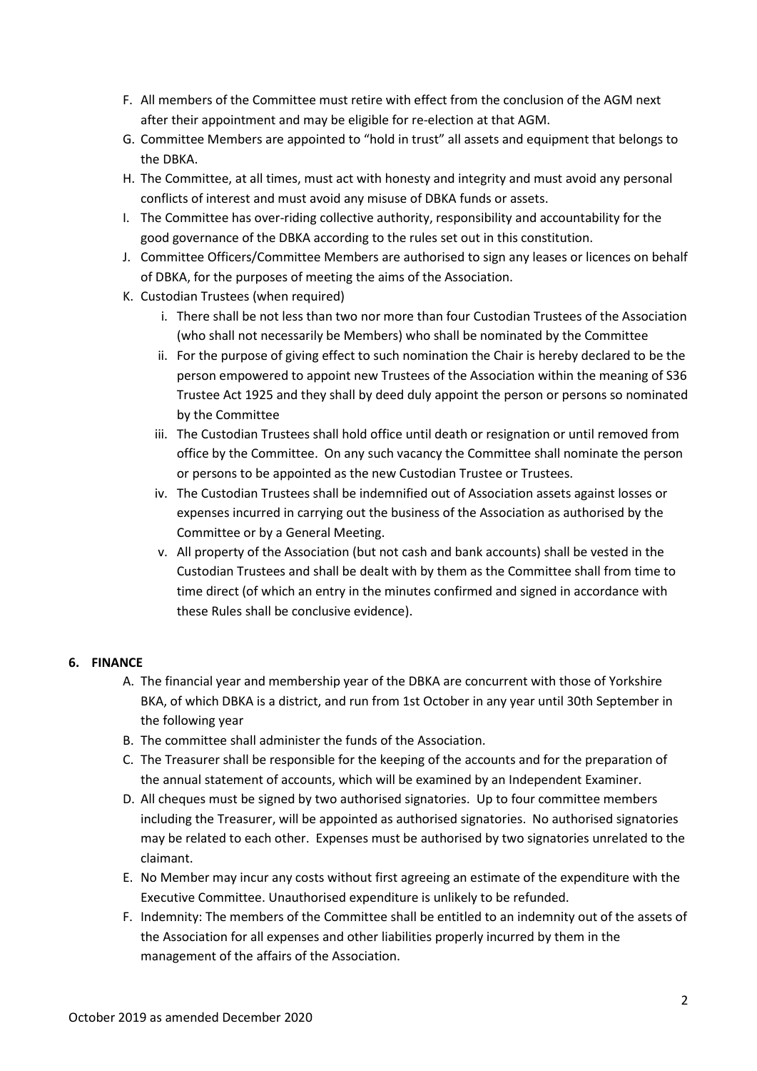- F. All members of the Committee must retire with effect from the conclusion of the AGM next after their appointment and may be eligible for re-election at that AGM.
- G. Committee Members are appointed to "hold in trust" all assets and equipment that belongs to the DBKA.
- H. The Committee, at all times, must act with honesty and integrity and must avoid any personal conflicts of interest and must avoid any misuse of DBKA funds or assets.
- I. The Committee has over-riding collective authority, responsibility and accountability for the good governance of the DBKA according to the rules set out in this constitution.
- J. Committee Officers/Committee Members are authorised to sign any leases or licences on behalf of DBKA, for the purposes of meeting the aims of the Association.
- K. Custodian Trustees (when required)
	- i. There shall be not less than two nor more than four Custodian Trustees of the Association (who shall not necessarily be Members) who shall be nominated by the Committee
	- ii. For the purpose of giving effect to such nomination the Chair is hereby declared to be the person empowered to appoint new Trustees of the Association within the meaning of S36 Trustee Act 1925 and they shall by deed duly appoint the person or persons so nominated by the Committee
	- iii. The Custodian Trustees shall hold office until death or resignation or until removed from office by the Committee. On any such vacancy the Committee shall nominate the person or persons to be appointed as the new Custodian Trustee or Trustees.
	- iv. The Custodian Trustees shall be indemnified out of Association assets against losses or expenses incurred in carrying out the business of the Association as authorised by the Committee or by a General Meeting.
	- v. All property of the Association (but not cash and bank accounts) shall be vested in the Custodian Trustees and shall be dealt with by them as the Committee shall from time to time direct (of which an entry in the minutes confirmed and signed in accordance with these Rules shall be conclusive evidence).

# **6. FINANCE**

- A. The financial year and membership year of the DBKA are concurrent with those of Yorkshire BKA, of which DBKA is a district, and run from 1st October in any year until 30th September in the following year
- B. The committee shall administer the funds of the Association.
- C. The Treasurer shall be responsible for the keeping of the accounts and for the preparation of the annual statement of accounts, which will be examined by an Independent Examiner.
- D. All cheques must be signed by two authorised signatories. Up to four committee members including the Treasurer, will be appointed as authorised signatories. No authorised signatories may be related to each other. Expenses must be authorised by two signatories unrelated to the claimant.
- E. No Member may incur any costs without first agreeing an estimate of the expenditure with the Executive Committee. Unauthorised expenditure is unlikely to be refunded.
- F. Indemnity: The members of the Committee shall be entitled to an indemnity out of the assets of the Association for all expenses and other liabilities properly incurred by them in the management of the affairs of the Association.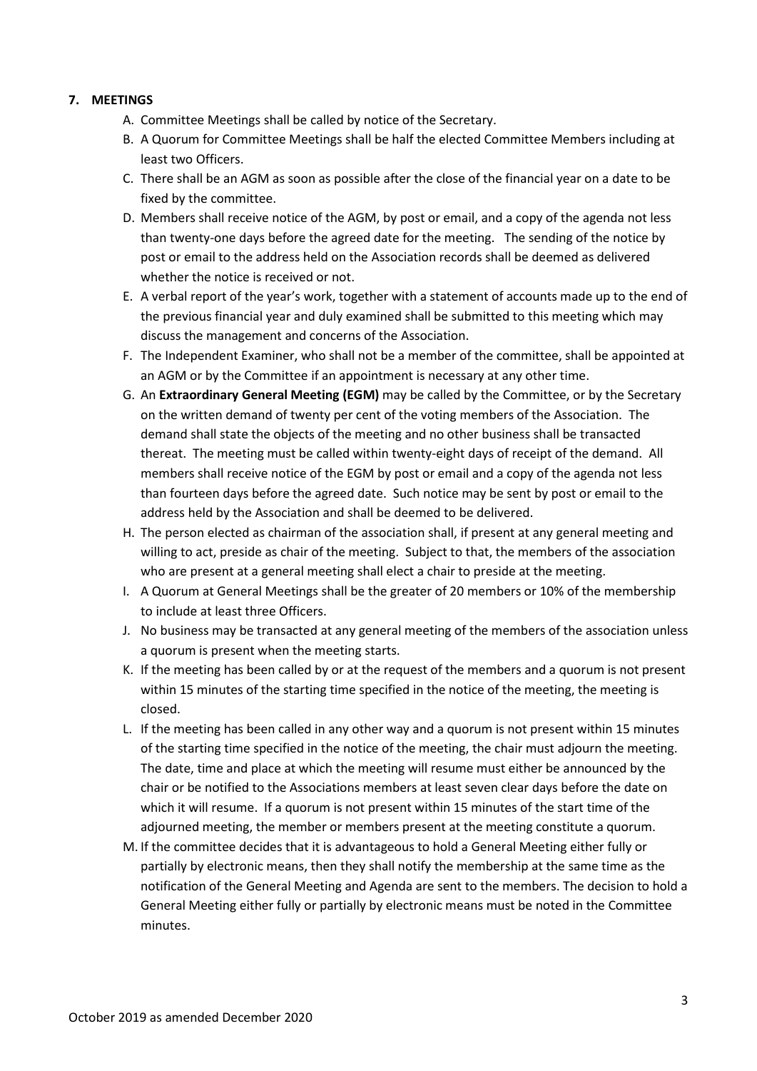### **7. MEETINGS**

- A. Committee Meetings shall be called by notice of the Secretary.
- B. A Quorum for Committee Meetings shall be half the elected Committee Members including at least two Officers.
- C. There shall be an AGM as soon as possible after the close of the financial year on a date to be fixed by the committee.
- D. Members shall receive notice of the AGM, by post or email, and a copy of the agenda not less than twenty-one days before the agreed date for the meeting. The sending of the notice by post or email to the address held on the Association records shall be deemed as delivered whether the notice is received or not.
- E. A verbal report of the year's work, together with a statement of accounts made up to the end of the previous financial year and duly examined shall be submitted to this meeting which may discuss the management and concerns of the Association.
- F. The Independent Examiner, who shall not be a member of the committee, shall be appointed at an AGM or by the Committee if an appointment is necessary at any other time.
- G. An **Extraordinary General Meeting (EGM)** may be called by the Committee, or by the Secretary on the written demand of twenty per cent of the voting members of the Association. The demand shall state the objects of the meeting and no other business shall be transacted thereat. The meeting must be called within twenty-eight days of receipt of the demand. All members shall receive notice of the EGM by post or email and a copy of the agenda not less than fourteen days before the agreed date. Such notice may be sent by post or email to the address held by the Association and shall be deemed to be delivered.
- H. The person elected as chairman of the association shall, if present at any general meeting and willing to act, preside as chair of the meeting. Subject to that, the members of the association who are present at a general meeting shall elect a chair to preside at the meeting.
- I. A Quorum at General Meetings shall be the greater of 20 members or 10% of the membership to include at least three Officers.
- J. No business may be transacted at any general meeting of the members of the association unless a quorum is present when the meeting starts.
- K. If the meeting has been called by or at the request of the members and a quorum is not present within 15 minutes of the starting time specified in the notice of the meeting, the meeting is closed.
- L. If the meeting has been called in any other way and a quorum is not present within 15 minutes of the starting time specified in the notice of the meeting, the chair must adjourn the meeting. The date, time and place at which the meeting will resume must either be announced by the chair or be notified to the Associations members at least seven clear days before the date on which it will resume. If a quorum is not present within 15 minutes of the start time of the adjourned meeting, the member or members present at the meeting constitute a quorum.
- M. If the committee decides that it is advantageous to hold a General Meeting either fully or partially by electronic means, then they shall notify the membership at the same time as the notification of the General Meeting and Agenda are sent to the members. The decision to hold a General Meeting either fully or partially by electronic means must be noted in the Committee minutes.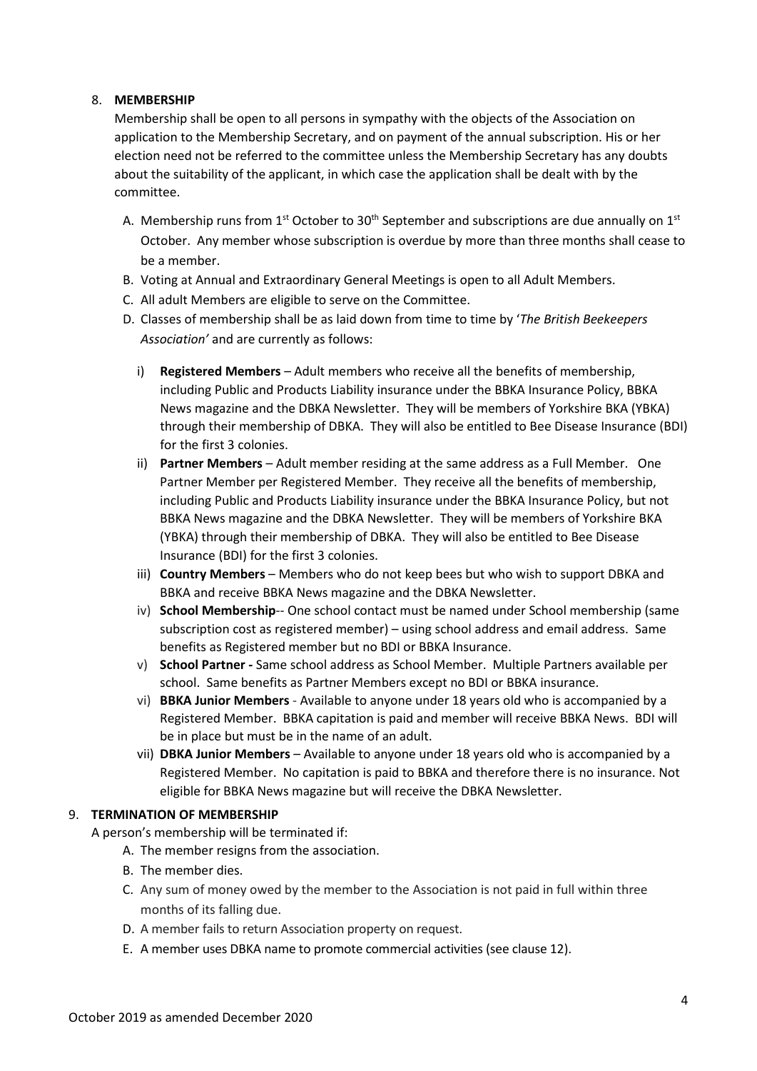### 8. **MEMBERSHIP**

Membership shall be open to all persons in sympathy with the objects of the Association on application to the Membership Secretary, and on payment of the annual subscription. His or her election need not be referred to the committee unless the Membership Secretary has any doubts about the suitability of the applicant, in which case the application shall be dealt with by the committee.

- A. Membership runs from 1<sup>st</sup> October to 30<sup>th</sup> September and subscriptions are due annually on 1<sup>st</sup> October. Any member whose subscription is overdue by more than three months shall cease to be a member.
- B. Voting at Annual and Extraordinary General Meetings is open to all Adult Members.
- C. All adult Members are eligible to serve on the Committee.
- D. Classes of membership shall be as laid down from time to time by '*The British Beekeepers Association'* and are currently as follows:
	- i) **Registered Members**  Adult members who receive all the benefits of membership, including Public and Products Liability insurance under the BBKA Insurance Policy, BBKA News magazine and the DBKA Newsletter. They will be members of Yorkshire BKA (YBKA) through their membership of DBKA. They will also be entitled to Bee Disease Insurance (BDI) for the first 3 colonies.
	- ii) **Partner Members**  Adult member residing at the same address as a Full Member. One Partner Member per Registered Member. They receive all the benefits of membership, including Public and Products Liability insurance under the BBKA Insurance Policy, but not BBKA News magazine and the DBKA Newsletter. They will be members of Yorkshire BKA (YBKA) through their membership of DBKA. They will also be entitled to Bee Disease Insurance (BDI) for the first 3 colonies.
	- iii) **Country Members**  Members who do not keep bees but who wish to support DBKA and BBKA and receive BBKA News magazine and the DBKA Newsletter.
	- iv) **School Membership**-- One school contact must be named under School membership (same subscription cost as registered member) – using school address and email address. Same benefits as Registered member but no BDI or BBKA Insurance.
	- v) **School Partner -** Same school address as School Member. Multiple Partners available per school. Same benefits as Partner Members except no BDI or BBKA insurance.
	- vi) **BBKA Junior Members**  Available to anyone under 18 years old who is accompanied by a Registered Member. BBKA capitation is paid and member will receive BBKA News. BDI will be in place but must be in the name of an adult.
	- vii) **DBKA Junior Members**  Available to anyone under 18 years old who is accompanied by a Registered Member. No capitation is paid to BBKA and therefore there is no insurance. Not eligible for BBKA News magazine but will receive the DBKA Newsletter.

#### 9. **TERMINATION OF MEMBERSHIP**

A person's membership will be terminated if:

- A. The member resigns from the association.
- B. The member dies.
- C. Any sum of money owed by the member to the Association is not paid in full within three months of its falling due.
- D. A member fails to return Association property on request.
- E. A member uses DBKA name to promote commercial activities (see clause 12).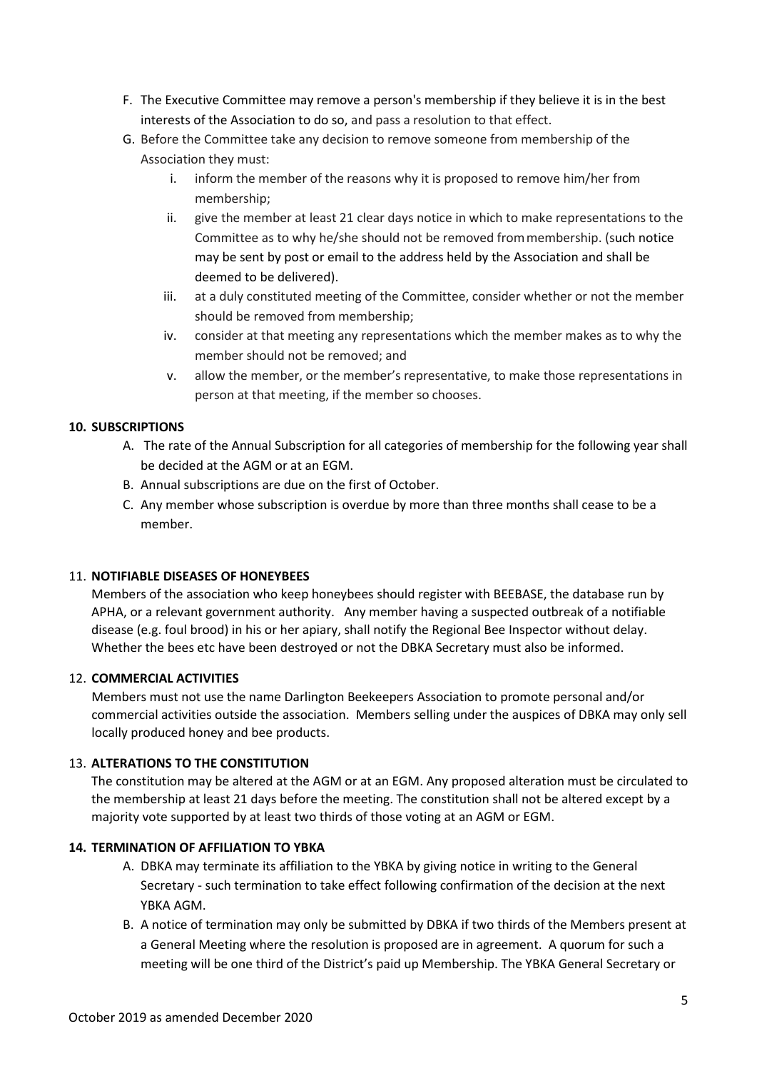- F. The Executive Committee may remove a person's membership if they believe it is in the best interests of the Association to do so, and pass a resolution to that effect.
- G. Before the Committee take any decision to remove someone from membership of the Association they must:
	- inform the member of the reasons why it is proposed to remove him/her from membership;
	- ii. give the member at least 21 clear days notice in which to make representations to the Committee as to why he/she should not be removed frommembership. (such notice may be sent by post or email to the address held by the Association and shall be deemed to be delivered).
	- iii. at a duly constituted meeting of the Committee, consider whether or not the member should be removed from membership;
	- iv. consider at that meeting any representations which the member makes as to why the member should not be removed; and
	- v. allow the member, or the member's representative, to make those representations in person at that meeting, if the member so chooses.

# **10. SUBSCRIPTIONS**

- A. The rate of the Annual Subscription for all categories of membership for the following year shall be decided at the AGM or at an EGM.
- B. Annual subscriptions are due on the first of October.
- C. Any member whose subscription is overdue by more than three months shall cease to be a member.

# 11. **NOTIFIABLE DISEASES OF HONEYBEES**

Members of the association who keep honeybees should register with BEEBASE, the database run by APHA, or a relevant government authority. Any member having a suspected outbreak of a notifiable disease (e.g. foul brood) in his or her apiary, shall notify the Regional Bee Inspector without delay. Whether the bees etc have been destroyed or not the DBKA Secretary must also be informed.

# 12. **COMMERCIAL ACTIVITIES**

Members must not use the name Darlington Beekeepers Association to promote personal and/or commercial activities outside the association. Members selling under the auspices of DBKA may only sell locally produced honey and bee products.

# 13. **ALTERATIONS TO THE CONSTITUTION**

The constitution may be altered at the AGM or at an EGM. Any proposed alteration must be circulated to the membership at least 21 days before the meeting. The constitution shall not be altered except by a majority vote supported by at least two thirds of those voting at an AGM or EGM.

# **14. TERMINATION OF AFFILIATION TO YBKA**

- A. DBKA may terminate its affiliation to the YBKA by giving notice in writing to the General Secretary - such termination to take effect following confirmation of the decision at the next YBKA AGM.
- B. A notice of termination may only be submitted by DBKA if two thirds of the Members present at a General Meeting where the resolution is proposed are in agreement. A quorum for such a meeting will be one third of the District's paid up Membership. The YBKA General Secretary or